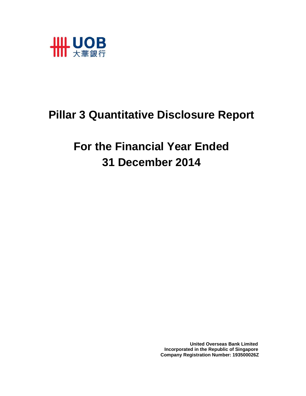

# **Pillar 3 Quantitative Disclosure Report**

# **For the Financial Year Ended 31 December 2014**

 **United Overseas Bank Limited Incorporated in the Republic of Singapore Company Registration Number: 193500026Z**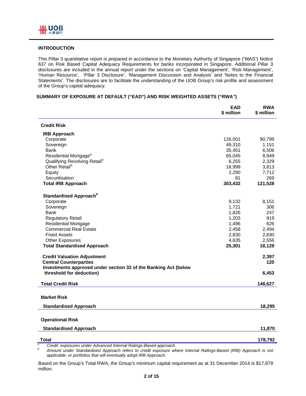#### **INTRODUCTION**

This Pillar 3 quantitative report is prepared in accordance to the Monetary Authority of Singapore ("MAS") Notice 637 on Risk Based Capital Adequacy Requirements for banks incorporated in Singapore. Additional Pillar 3 disclosures are included in the annual report under the sections on 'Capital Management', 'Risk Management', 'Human Resource', 'Pillar 3 Disclosure', 'Management Discussion and Analysis' and 'Notes to the Financial Statements'. The disclosures are to facilitate the understanding of the UOB Group's risk profile and assessment of the Group's capital adequacy.

#### **SUMMARY OF EXPOSURE AT DEFAULT ("EAD") AND RISK WEIGHTED ASSETS ("RWA")**

|                                                                 | <b>EAD</b><br>\$ million | <b>RWA</b><br>\$ million |
|-----------------------------------------------------------------|--------------------------|--------------------------|
| <b>Credit Risk</b>                                              |                          |                          |
| <b>IRB Approach</b>                                             |                          |                          |
| Corporate                                                       | 126,001                  | 90,799                   |
| Sovereign                                                       | 49,310                   | 1,151                    |
| Bank                                                            | 35,451                   | 6,506                    |
| Residential Mortgage <sup>a</sup>                               | 65,045                   | 8,949                    |
| Qualifying Revolving Retail <sup>a</sup>                        | 6,255                    | 2,329                    |
| Other Retail <sup>a</sup>                                       | 18,999                   | 3,813                    |
| Equity                                                          | 2,290                    | 7,712                    |
| Securitisation                                                  | 81                       | 269                      |
| <b>Total IRB Approach</b>                                       | 303,432                  | 121,528                  |
| Standardised Approach <sup>b</sup>                              |                          |                          |
| Corporate                                                       | 9,132                    | 8,151                    |
| Sovereign                                                       | 1,721                    | 306                      |
| Bank                                                            | 1,826                    | 247                      |
| <b>Regulatory Retail</b>                                        | 1,203                    | 919                      |
| <b>Residential Mortgage</b>                                     | 1,496                    | 626                      |
| <b>Commercial Real Estate</b>                                   | 2,458                    | 2,494                    |
| <b>Fixed Assets</b>                                             | 2,830                    | 2,830                    |
| <b>Other Exposures</b>                                          | 4,635                    | 2,556                    |
| <b>Total Standardised Approach</b>                              | 25,301                   | 18,129                   |
| <b>Credit Valuation Adjustment</b>                              |                          | 2,397                    |
| <b>Central Counterparties</b>                                   |                          | 120                      |
| Investments approved under section 32 of the Banking Act (below |                          |                          |
| threshold for deduction)                                        |                          | 6,453                    |
| <b>Total Credit Risk</b>                                        |                          | 148,627                  |
|                                                                 |                          |                          |
| <b>Market Risk</b>                                              |                          |                          |
| <b>Standardised Approach</b>                                    |                          | 18,295                   |
| <b>Operational Risk</b>                                         |                          |                          |
|                                                                 |                          |                          |
| <b>Standardised Approach</b>                                    |                          | 11,870                   |
| <b>Total</b>                                                    |                          | 178,792                  |

*a* <sup>a</sup> Credit exposures under Advanced Internal Ratings-Based approach.

 *Amount under Standardised Approach refers to credit exposure where Internal Ratings-Based (IRB) Approach is not applicable, or portfolios that will eventually adopt IRB Approach.* 

Based on the Group's Total RWA, the Group's minimum capital requirement as at 31 December 2014 is \$17,879 million.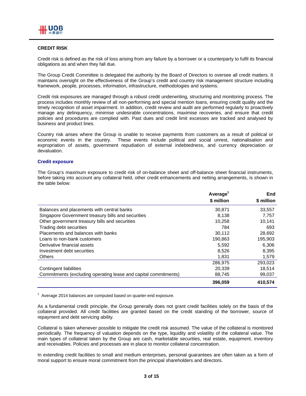#### **CREDIT RISK**

Credit risk is defined as the risk of loss arising from any failure by a borrower or a counterparty to fulfil its financial obligations as and when they fall due.

The Group Credit Committee is delegated the authority by the Board of Directors to oversee all credit matters. It maintains oversight on the effectiveness of the Group's credit and country risk management structure including framework, people, processes, information, infrastructure, methodologies and systems.

Credit risk exposures are managed through a robust credit underwriting, structuring and monitoring process. The process includes monthly review of all non-performing and special mention loans, ensuring credit quality and the timely recognition of asset impairment. In addition, credit review and audit are performed regularly to proactively manage any delinquency, minimise undesirable concentrations, maximise recoveries, and ensure that credit policies and procedures are complied with. Past dues and credit limit excesses are tracked and analysed by business and product lines.

Country risk arises where the Group is unable to receive payments from customers as a result of political or economic events in the country. These events include political and social unrest, nationalisation and expropriation of assets, government repudiation of external indebtedness, and currency depreciation or devaluation.

#### **Credit exposure**

The Group's maximum exposure to credit risk of on-balance sheet and off-balance sheet financial instruments, before taking into account any collateral held, other credit enhancements and netting arrangements, is shown in the table below:

|                                                                 | Average <sup>1</sup> | End        |
|-----------------------------------------------------------------|----------------------|------------|
|                                                                 | \$ million           | \$ million |
| Balances and placements with central banks                      | 30,871               | 33,557     |
| Singapore Government treasury bills and securities              | 8.138                | 7.757      |
| Other government treasury bills and securities                  | 10,258               | 10.141     |
| Trading debt securities                                         | 784                  | 693        |
| Placements and balances with banks                              | 30.112               | 28,692     |
| Loans to non-bank customers                                     | 190.863              | 195.903    |
| Derivative financial assets                                     | 5,592                | 6,306      |
| Investment debt securities                                      | 8,526                | 8,395      |
| <b>Others</b>                                                   | 1,831                | 1,579      |
|                                                                 | 286,975              | 293,023    |
| Contingent liabilities                                          | 20,339               | 18,514     |
| Commitments (excluding operating lease and capital commitments) | 88,745               | 99,037     |
|                                                                 | 396,059              | 410.574    |

 $1$  Average 2014 balances are computed based on quarter-end exposure.

As a fundamental credit principle, the Group generally does not grant credit facilities solely on the basis of the collateral provided. All credit facilities are granted based on the credit standing of the borrower, source of repayment and debt servicing ability.

Collateral is taken whenever possible to mitigate the credit risk assumed. The value of the collateral is monitored periodically. The frequency of valuation depends on the type, liquidity and volatility of the collateral value. The main types of collateral taken by the Group are cash, marketable securities, real estate, equipment, inventory and receivables. Policies and processes are in place to monitor collateral concentration.

In extending credit facilities to small and medium enterprises, personal guarantees are often taken as a form of moral support to ensure moral commitment from the principal shareholders and directors.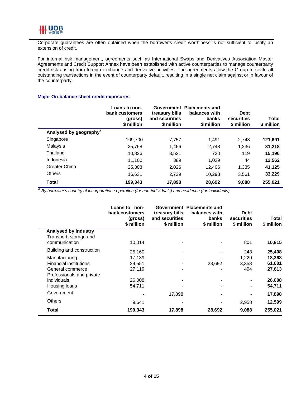

Corporate guarantees are often obtained when the borrower's credit worthiness is not sufficient to justify an extension of credit.

For internal risk management, agreements such as International Swaps and Derivatives Association Master Agreements and Credit Support Annex have been established with active counterparties to manage counterparty credit risk arising from foreign exchange and derivative activities. The agreements allow the Group to settle all outstanding transactions in the event of counterparty default, resulting in a single net claim against or in favour of the counterparty.

#### **Major On-balance sheet credit exposures**

|                                    | Loans to non-<br>bank customers<br>(gross)<br>\$ million | treasury bills<br>and securities<br>\$ million | Government Placements and<br>balances with<br>banks<br>\$ million | <b>Debt</b><br>securities<br>\$ million | <b>Total</b><br>\$ million |
|------------------------------------|----------------------------------------------------------|------------------------------------------------|-------------------------------------------------------------------|-----------------------------------------|----------------------------|
| Analysed by geography <sup>a</sup> |                                                          |                                                |                                                                   |                                         |                            |
| Singapore                          | 109,700                                                  | 7,757                                          | 1.491                                                             | 2,743                                   | 121,691                    |
| Malaysia                           | 25.768                                                   | 1.466                                          | 2.748                                                             | 1.236                                   | 31,218                     |
| Thailand                           | 10,836                                                   | 3,521                                          | 720                                                               | 119                                     | 15,196                     |
| Indonesia                          | 11.100                                                   | 389                                            | 1,029                                                             | 44                                      | 12,562                     |
| <b>Greater China</b>               | 25.308                                                   | 2,026                                          | 12,406                                                            | 1,385                                   | 41,125                     |
| <b>Others</b>                      | 16.631                                                   | 2.739                                          | 10.298                                                            | 3,561                                   | 33,229                     |
| <b>Total</b>                       | 199,343                                                  | 17,898                                         | 28,692                                                            | 9.088                                   | 255,021                    |

*<sup>a</sup> By borrower's country of incorporation / operation (for non-individuals) and residence (for individuals).* 

|                               | Loans to<br>non-<br>bank customers<br>(gross)<br>\$ million | treasury bills<br>and securities<br>\$ million | Government Placements and<br>balances with<br>banks<br>\$ million | <b>Debt</b><br>securities<br>\$ million | Total<br>\$ million |
|-------------------------------|-------------------------------------------------------------|------------------------------------------------|-------------------------------------------------------------------|-----------------------------------------|---------------------|
| Analysed by industry          |                                                             |                                                |                                                                   |                                         |                     |
| Transport, storage and        |                                                             |                                                |                                                                   |                                         |                     |
| communication                 | 10,014                                                      |                                                |                                                                   | 801                                     | 10,815              |
| Building and construction     | 25,160                                                      |                                                |                                                                   | 248                                     | 25,408              |
| Manufacturing                 | 17,139                                                      |                                                |                                                                   | 1,229                                   | 18,368              |
| <b>Financial institutions</b> | 29,551                                                      |                                                | 28,692                                                            | 3,358                                   | 61,601              |
| General commerce              | 27,119                                                      |                                                |                                                                   | 494                                     | 27,613              |
| Professionals and private     |                                                             |                                                |                                                                   |                                         |                     |
| individuals                   | 26,008                                                      |                                                |                                                                   |                                         | 26,008              |
| Housing loans                 | 54,711                                                      |                                                |                                                                   |                                         | 54,711              |
| Government                    |                                                             | 17,898                                         |                                                                   |                                         | 17,898              |
| <b>Others</b>                 | 9,641                                                       |                                                |                                                                   | 2,958                                   | 12,599              |
| Total                         | 199,343                                                     | 17,898                                         | 28,692                                                            | 9,088                                   | 255,021             |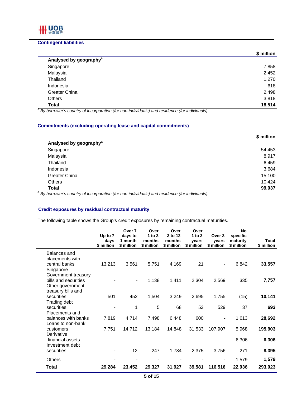# **Contingent liabilities**

IIII UOB 大華銀行

|                                                                                                            | \$ million |
|------------------------------------------------------------------------------------------------------------|------------|
| Analysed by geography <sup>a</sup>                                                                         |            |
| Singapore                                                                                                  | 7,858      |
| Malaysia                                                                                                   | 2,452      |
| Thailand                                                                                                   | 1,270      |
| Indonesia                                                                                                  | 618        |
| Greater China                                                                                              | 2,498      |
| <b>Others</b>                                                                                              | 3,818      |
| <b>Total</b>                                                                                               | 18,514     |
| <sup>a</sup> By borrower's country of incorporation (for non-individuals) and residence (for individuals). |            |

## **Commitments (excluding operating lease and capital commitments)**

|                                                                                                            | \$ million |
|------------------------------------------------------------------------------------------------------------|------------|
| Analysed by geography <sup>a</sup>                                                                         |            |
| Singapore                                                                                                  | 54,453     |
| Malaysia                                                                                                   | 8,917      |
| Thailand                                                                                                   | 6,459      |
| Indonesia                                                                                                  | 3,684      |
| Greater China                                                                                              | 15,100     |
| Others                                                                                                     | 10,424     |
| <b>Total</b>                                                                                               | 99,037     |
| <sup>a</sup> By borrower's country of incorporation (for non-individuals) and residence (for individuals). |            |

# **Credit exposures by residual contractual maturity**

The following table shows the Group's credit exposures by remaining contractual maturities.

|                                     | Up to 7<br>days<br>\$ million | Over 7<br>days to<br>1 month<br>\$ million | Over<br>1 to $3$<br>months<br>\$ million | Over<br>3 to 12<br>months<br>\$ million | Over<br>1 to $3$<br>vears<br>\$ million | Over 3<br>years<br>\$ million | <b>No</b><br>specific<br>maturity<br>\$ million | <b>Total</b><br>\$ million |
|-------------------------------------|-------------------------------|--------------------------------------------|------------------------------------------|-----------------------------------------|-----------------------------------------|-------------------------------|-------------------------------------------------|----------------------------|
|                                     |                               |                                            |                                          |                                         |                                         |                               |                                                 |                            |
| Balances and<br>placements with     |                               |                                            |                                          |                                         |                                         |                               |                                                 |                            |
| central banks                       | 13,213                        | 3,561                                      | 5,751                                    | 4,169                                   | 21                                      | $\overline{\phantom{a}}$      | 6,842                                           | 33,557                     |
| Singapore                           |                               |                                            |                                          |                                         |                                         |                               |                                                 |                            |
| Government treasury                 |                               |                                            |                                          |                                         |                                         |                               |                                                 |                            |
| bills and securities                |                               |                                            | 1,138                                    | 1,411                                   | 2,304                                   | 2,569                         | 335                                             | 7,757                      |
| Other government                    |                               |                                            |                                          |                                         |                                         |                               |                                                 |                            |
| treasury bills and                  |                               |                                            |                                          |                                         |                                         |                               |                                                 |                            |
| securities<br>Trading debt          | 501                           | 452                                        | 1,504                                    | 3,249                                   | 2,695                                   | 1,755                         | (15)                                            | 10,141                     |
| securities                          |                               | 1                                          | 5                                        | 68                                      | 53                                      | 529                           | 37                                              | 693                        |
| Placements and                      |                               |                                            |                                          |                                         |                                         |                               |                                                 |                            |
| balances with banks                 | 7,819                         | 4,714                                      | 7,498                                    | 6,448                                   | 600                                     | $\qquad \qquad \blacksquare$  | 1,613                                           | 28,692                     |
| Loans to non-bank                   |                               |                                            |                                          |                                         |                                         |                               |                                                 |                            |
| customers                           | 7,751                         | 14,712                                     | 13,184                                   | 14,848                                  | 31,533                                  | 107,907                       | 5,968                                           | 195,903                    |
| Derivative                          |                               |                                            |                                          |                                         |                                         |                               |                                                 |                            |
| financial assets<br>Investment debt |                               |                                            |                                          |                                         |                                         |                               | 6,306                                           | 6,306                      |
| securities                          |                               | 12                                         | 247                                      | 1,734                                   | 2,375                                   | 3,756                         | 271                                             | 8,395                      |
|                                     |                               |                                            |                                          |                                         |                                         |                               |                                                 |                            |
| Others                              |                               | $\overline{\phantom{a}}$                   |                                          |                                         |                                         | $\overline{\phantom{0}}$      | 1,579                                           | 1,579                      |
| <b>Total</b>                        | 29,284                        | 23,452                                     | 29,327                                   | 31,927                                  | 39,581                                  | 116,516                       | 22,936                                          | 293,023                    |
|                                     |                               |                                            |                                          |                                         |                                         |                               |                                                 |                            |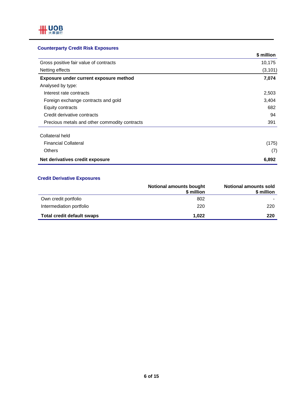# **Counterparty Credit Risk Exposures**

|                                               | \$ million |
|-----------------------------------------------|------------|
| Gross positive fair value of contracts        | 10,175     |
| Netting effects                               | (3, 101)   |
| Exposure under current exposure method        | 7,074      |
| Analysed by type:                             |            |
| Interest rate contracts                       | 2,503      |
| Foreign exchange contracts and gold           | 3,404      |
| Equity contracts                              | 682        |
| Credit derivative contracts                   | 94         |
| Precious metals and other commodity contracts | 391        |
| Collateral held                               |            |
| <b>Financial Collateral</b>                   | (175)      |
| <b>Others</b>                                 | (7)        |
| Net derivatives credit exposure               | 6,892      |

# **Credit Derivative Exposures**

|                                   | Notional amounts bought<br>\$ million | <b>Notional amounts sold</b><br>\$ million |
|-----------------------------------|---------------------------------------|--------------------------------------------|
| Own credit portfolio              | 802                                   |                                            |
| Intermediation portfolio          | 220                                   | 220                                        |
| <b>Total credit default swaps</b> | 1.022                                 | 220                                        |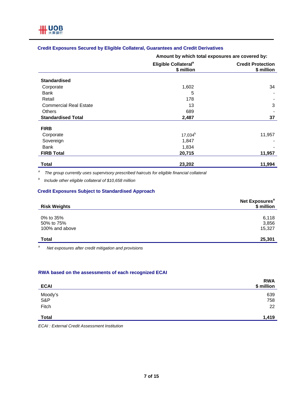# **Credit Exposures Secured by Eligible Collateral, Guarantees and Credit Derivatives**

**Amount by which total exposures are covered by:**

|                               | Eligible Collateral <sup>a</sup><br>\$ million | <b>Credit Protection</b><br>\$ million |
|-------------------------------|------------------------------------------------|----------------------------------------|
| <b>Standardised</b>           |                                                |                                        |
| Corporate                     | 1,602                                          | 34                                     |
| Bank                          | 5                                              |                                        |
| Retail                        | 178                                            |                                        |
| <b>Commercial Real Estate</b> | 13                                             | 3                                      |
| <b>Others</b>                 | 689                                            |                                        |
| <b>Standardised Total</b>     | 2,487                                          | 37                                     |
| <b>FIRB</b>                   |                                                |                                        |
| Corporate                     | $17,034^{b}$                                   | 11,957                                 |
| Sovereign                     | 1,847                                          |                                        |
| <b>Bank</b>                   | 1,834                                          |                                        |
| <b>FIRB Total</b>             | 20,715                                         | 11,957                                 |
| Total                         | 23,202                                         | 11,994                                 |

*a The group currently uses supervisory prescribed haircuts for eligible financial collateral* 

*b Include other eligible collateral of \$10,658 million* 

# **Credit Exposures Subject to Standardised Approach**

| <b>Risk Weights</b>                       | Net Exposures <sup>a</sup><br>\$ million |
|-------------------------------------------|------------------------------------------|
| 0% to 35%<br>50% to 75%<br>100% and above | 6,118<br>3,856<br>15,327                 |
| Total                                     | 25,301                                   |

*a Net exposures after credit mitigation and provisions* 

#### **RWA based on the assessments of each recognized ECAI**

| <b>ECAI</b>    | <b>RWA</b><br>\$ million |
|----------------|--------------------------|
| Moody's<br>S&P | 639<br>758               |
| Fitch          | 22                       |
| <b>Total</b>   | 1,419                    |

*ECAI : External Credit Assessment Institution*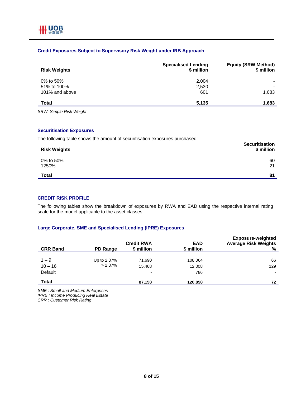# **Credit Exposures Subject to Supervisory Risk Weight under IRB Approach**

| <b>Risk Weights</b>                        | <b>Specialised Lending</b><br>\$ million | <b>Equity (SRW Method)</b><br>\$ million |
|--------------------------------------------|------------------------------------------|------------------------------------------|
| 0% to 50%<br>51% to 100%<br>101% and above | 2,004<br>2,530<br>601                    | 1,683                                    |
| Total                                      | 5.135                                    | 1,683                                    |

*SRW: Simple Risk Weight* 

#### **Securitisation Exposures**

The following table shows the amount of securitisation exposures purchased:

| <b>Risk Weights</b> | <b>Securitisation</b><br>\$ million |
|---------------------|-------------------------------------|
| 0% to 50%<br>1250%  | 60<br>21                            |
| <b>Total</b>        | 81                                  |

# **CREDIT RISK PROFILE**

The following tables show the breakdown of exposures by RWA and EAD using the respective internal rating scale for the model applicable to the asset classes:

#### **Large Corporate, SME and Specialised Lending (IPRE) Exposures**

| <b>CRR Band</b>                 | <b>PD Range</b>           | <b>Credit RWA</b><br>\$ million              | <b>EAD</b><br>\$ million | <b>Exposure-weighted</b><br><b>Average Risk Weights</b><br>% |
|---------------------------------|---------------------------|----------------------------------------------|--------------------------|--------------------------------------------------------------|
| $1 - 9$<br>$10 - 16$<br>Default | Up to 2.37%<br>$> 2.37\%$ | 71.690<br>15.468<br>$\overline{\phantom{0}}$ | 108,064<br>12,008<br>786 | 66<br>129<br>$\blacksquare$                                  |
| <b>Total</b>                    |                           | 87,158                                       | 120,858                  | 72                                                           |

*SME : Small and Medium Enterprises IPRE : Income Producing Real Estate CRR : Customer Risk Rating*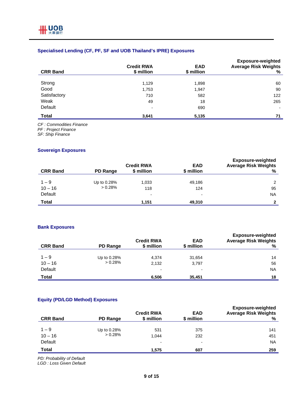# **Specialised Lending (CF, PF, SF and UOB Thailand's IPRE) Exposures**

| <b>CRR Band</b> | <b>Credit RWA</b><br>\$ million | <b>EAD</b><br>\$ million | <b>Exposure-weighted</b><br><b>Average Risk Weights</b><br>% |
|-----------------|---------------------------------|--------------------------|--------------------------------------------------------------|
|                 |                                 |                          | 60                                                           |
| Strong          | 1,129                           | 1,898                    |                                                              |
| Good            | 1,753                           | 1,947                    | 90                                                           |
| Satisfactory    | 710                             | 582                      | 122                                                          |
| Weak            | 49                              | 18                       | 265                                                          |
| Default         | $\overline{\phantom{a}}$        | 690                      | $\blacksquare$                                               |
| <b>Total</b>    | 3,641                           | 5,135                    | 71                                                           |

*CF : Commodities Finance* 

*PF : Project Finance* 

*SF: Ship Finance* 

## **Sovereign Exposures**

| <b>CRR Band</b>                 | <b>PD Range</b>        | <b>Credit RWA</b><br>\$ million          | <b>EAD</b><br>\$ million                  | <b>Exposure-weighted</b><br><b>Average Risk Weights</b><br>% |
|---------------------------------|------------------------|------------------------------------------|-------------------------------------------|--------------------------------------------------------------|
| $1 - 9$<br>$10 - 16$<br>Default | Up to 0.28%<br>> 0.28% | 1,033<br>118<br>$\overline{\phantom{0}}$ | 49,186<br>124<br>$\overline{\phantom{0}}$ | 2<br>95<br><b>NA</b>                                         |
| Total                           |                        | 1,151                                    | 49,310                                    |                                                              |

#### **Bank Exposures**

| <b>CRR Band</b> | <b>PD Range</b> | <b>Credit RWA</b><br>\$ million | <b>EAD</b><br>\$ million | <b>Exposure-weighted</b><br><b>Average Risk Weights</b><br>% |
|-----------------|-----------------|---------------------------------|--------------------------|--------------------------------------------------------------|
|                 |                 |                                 |                          |                                                              |
| $1 - 9$         | Up to 0.28%     | 4,374                           | 31,654                   | 14                                                           |
| $10 - 16$       | > 0.28%         | 2,132                           | 3,797                    | 56                                                           |
| Default         |                 | ۰                               | -                        | <b>NA</b>                                                    |
| <b>Total</b>    |                 | 6,506                           | 35,451                   | 18                                                           |

#### **Equity (PD/LGD Method) Exposures**

| <b>CRR Band</b> | <b>PD Range</b> | <b>Credit RWA</b><br>\$ million | <b>EAD</b><br>\$ million | <b>Exposure-weighted</b><br><b>Average Risk Weights</b><br>% |
|-----------------|-----------------|---------------------------------|--------------------------|--------------------------------------------------------------|
|                 |                 |                                 |                          |                                                              |
| $1 - 9$         | Up to 0.28%     | 531                             | 375                      | 141                                                          |
| $10 - 16$       | > 0.28%         | 1,044                           | 232                      | 451                                                          |
| Default         |                 | ٠                               | $\blacksquare$           | <b>NA</b>                                                    |
| Total           |                 | 1.575                           | 607                      | 259                                                          |

*PD: Probability of Default* 

*LGD : Loss Given Default*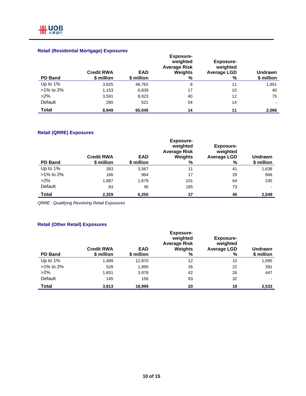# **Retail (Residential Mortgage) Exposures**

| <b>PD Band</b> | <b>Credit RWA</b><br>\$ million | <b>EAD</b><br>\$ million | <b>Exposure-</b><br>weighted<br><b>Average Risk</b><br><b>Weights</b><br>% | Exposure-<br>weighted<br><b>Average LGD</b><br>% | <b>Undrawn</b><br>\$ million |
|----------------|---------------------------------|--------------------------|----------------------------------------------------------------------------|--------------------------------------------------|------------------------------|
| Up to 1%       | 3,925                           | 48,762                   | 8                                                                          | 11                                               | 1,951                        |
| $>1\%$ to 2%   | 1,153                           | 6,839                    | 17                                                                         | 10                                               | 40                           |
| $>2\%$         | 3,591                           | 8,923                    | 40                                                                         | 12                                               | 75                           |
| Default        | 280                             | 521                      | 54                                                                         | 14                                               |                              |
| <b>Total</b>   | 8.949                           | 65,045                   | 14                                                                         | 11                                               | 2,066                        |

# **Retail (QRRE) Exposures**

| <b>PD Band</b> | <b>Credit RWA</b><br>\$ million | <b>EAD</b><br>\$ million | <b>Exposure-</b><br>weighted<br><b>Average Risk</b><br>Weights<br>% | <b>Exposure-</b><br>weighted<br><b>Average LGD</b><br>% | <b>Undrawn</b><br>\$ million |
|----------------|---------------------------------|--------------------------|---------------------------------------------------------------------|---------------------------------------------------------|------------------------------|
| Up to 1%       | 393                             | 3,567                    | 11                                                                  | 41                                                      | 1,638                        |
| $>1\%$ to 2%   | 166                             | 964                      | 17                                                                  | 29                                                      | 666                          |
| $>2\%$         | 1,687                           | 1,679                    | 101                                                                 | 64                                                      | 245                          |
| Default        | 83                              | 45                       | 185                                                                 | 73                                                      | $\overline{\phantom{0}}$     |
| <b>Total</b>   | 2,329                           | 6,255                    | 37                                                                  | 45                                                      | 2,549                        |

*QRRE : Qualifying Revolving Retail Exposures* 

# **Retail (Other Retail) Exposures**

| <b>PD Band</b> | <b>Credit RWA</b><br>\$ million | <b>EAD</b><br>\$ million | <b>Exposure-</b><br>weighted<br><b>Average Risk</b><br>Weights<br>% | <b>Exposure-</b><br>weighted<br><b>Average LGD</b><br>% | Undrawn<br>\$ million |
|----------------|---------------------------------|--------------------------|---------------------------------------------------------------------|---------------------------------------------------------|-----------------------|
| Up to 1%       | 1,489                           | 12,870                   | 12                                                                  | 15                                                      | 1,695                 |
| >1% to 2%      | 528                             | 1,995                    | 26                                                                  | 22                                                      | 391                   |
| $>2\%$         | 1.651                           | 3,978                    | 42                                                                  | 26                                                      | 447                   |
| Default        | 145                             | 156                      | 93                                                                  | 32                                                      |                       |
| Total          | 3,813                           | 18,999                   | 20                                                                  | 18                                                      | 2,533                 |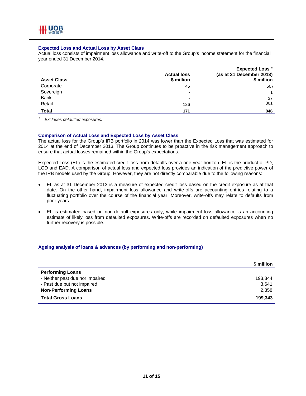#### **Expected Loss and Actual Loss by Asset Class**

Actual loss consists of impairment loss allowance and write-off to the Group's income statement for the financial year ended 31 December 2014.

| <b>Asset Class</b> | <b>Actual loss</b><br>\$ million | Expected Loss <sup>a</sup><br>(as at 31 December 2013)<br>\$ million |
|--------------------|----------------------------------|----------------------------------------------------------------------|
| Corporate          | 45                               | 507                                                                  |
| Sovereign          | $\overline{\phantom{a}}$         |                                                                      |
| <b>Bank</b>        | $\blacksquare$                   | 37                                                                   |
| Retail             | 126                              | 301                                                                  |
| <b>Total</b>       | 171                              | 846                                                                  |

*a Excludes defaulted exposures.* 

#### **Comparison of Actual Loss and Expected Loss by Asset Class**

The actual loss for the Group's IRB portfolio in 2014 was lower than the Expected Loss that was estimated for 2014 at the end of December 2013. The Group continues to be proactive in the risk management approach to ensure that actual losses remained within the Group's expectations.

Expected Loss (EL) is the estimated credit loss from defaults over a one-year horizon. EL is the product of PD, LGD and EAD. A comparison of actual loss and expected loss provides an indication of the predictive power of the IRB models used by the Group. However, they are not directly comparable due to the following reasons:

- EL as at 31 December 2013 is a measure of expected credit loss based on the credit exposure as at that date. On the other hand, impairment loss allowance and write-offs are accounting entries relating to a fluctuating portfolio over the course of the financial year. Moreover, write-offs may relate to defaults from prior years.
- EL is estimated based on non-default exposures only, while impairment loss allowance is an accounting estimate of likely loss from defaulted exposures. Write-offs are recorded on defaulted exposures when no further recovery is possible.

#### **Ageing analysis of loans & advances (by performing and non-performing)**

|                                 | \$ million |
|---------------------------------|------------|
| <b>Performing Loans</b>         |            |
| - Neither past due nor impaired | 193,344    |
| - Past due but not impaired     | 3,641      |
| <b>Non-Performing Loans</b>     | 2,358      |
| <b>Total Gross Loans</b>        | 199.343    |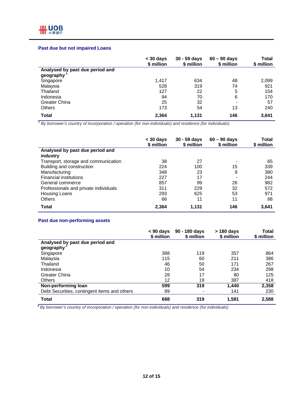## **Past due but not impaired Loans**

|                                 | $<$ 30 days<br>\$ million | $30 - 59$ days<br>\$ million | $60 - 90$ days<br>\$ million | Total<br>\$ million |
|---------------------------------|---------------------------|------------------------------|------------------------------|---------------------|
| Analysed by past due period and |                           |                              |                              |                     |
| geography <sup>a</sup>          |                           |                              |                              |                     |
| Singapore                       | 1.417                     | 634                          | 48                           | 2,099               |
| Malaysia                        | 528                       | 319                          | 74                           | 921                 |
| Thailand                        | 127                       | 22                           | 5                            | 154                 |
| Indonesia                       | 94                        | 70                           | 6                            | 170                 |
| <b>Greater China</b>            | 25                        | 32                           | $\blacksquare$               | 57                  |
| <b>Others</b>                   | 173                       | 54                           | 13                           | 240                 |
| <b>Total</b>                    | 2,364                     | 1,131                        | 146                          | 3,641               |

a By borrower's country of incorporation / operation (for non-individuals) and residence (for individuals).

|                                       | $<$ 30 days<br>\$ million | $30 - 59$ days<br>\$ million | $60 - 90$ days<br>\$ million | Total<br>\$ million |
|---------------------------------------|---------------------------|------------------------------|------------------------------|---------------------|
| Analysed by past due period and       |                           |                              |                              |                     |
| industry                              |                           |                              |                              |                     |
| Transport, storage and communication  | 38                        | 27                           |                              | 65                  |
| Building and construction             | 224                       | 100                          | 15                           | 339                 |
| Manufacturing                         | 348                       | 23                           | 9                            | 380                 |
| <b>Financial institutions</b>         | 227                       | 17                           |                              | 244                 |
| General commerce                      | 857                       | 99                           | 26                           | 982                 |
| Professionals and private individuals | 311                       | 229                          | 32                           | 572                 |
| Housing Loans                         | 293                       | 625                          | 53                           | 971                 |
| <b>Others</b>                         | 66                        | 11                           | 11                           | 88                  |
| Total                                 | 2,364                     | 1,131                        | 146                          | 3,641               |

## **Past due non-performing assets**

|                                              | $< 90$ days<br>\$ million | 90 - 180 days<br>\$ million | $>$ 180 days<br>\$ million | Total<br>\$ million |
|----------------------------------------------|---------------------------|-----------------------------|----------------------------|---------------------|
| Analysed by past due period and              |                           |                             |                            |                     |
| geography                                    |                           |                             |                            |                     |
| Singapore                                    | 388                       | 119                         | 357                        | 864                 |
| Malaysia                                     | 115                       | 60                          | 211                        | 386                 |
| Thailand                                     | 46                        | 50                          | 171                        | 267                 |
| Indonesia                                    | 10                        | 54                          | 234                        | 298                 |
| Greater China                                | 28                        | 17                          | 80                         | 125                 |
| <b>Others</b>                                | 12                        | 19                          | 387                        | 418                 |
| Non-performing loan                          | 599                       | 319                         | 1,440                      | 2,358               |
| Debt Securities, contingent items and others | 89                        |                             | 141                        | 230                 |
| Total                                        | 688                       | 319                         | 1,581                      | 2,588               |

*<sup>a</sup> By borrower's country of incorporation / operation (for non-individuals) and residence (for individuals)*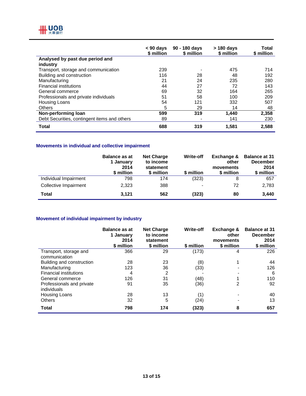

|                                              | $< 90$ days<br>\$ million | 90 - 180 days<br>\$ million | > 180 days<br>\$ million | Total<br>\$ million |
|----------------------------------------------|---------------------------|-----------------------------|--------------------------|---------------------|
| Analysed by past due period and              |                           |                             |                          |                     |
| industry                                     |                           |                             |                          |                     |
| Transport, storage and communication         | 239                       |                             | 475                      | 714                 |
| Building and construction                    | 116                       | 28                          | 48                       | 192                 |
| Manufacturing                                | 21                        | 24                          | 235                      | 280                 |
| <b>Financial institutions</b>                | 44                        | 27                          | 72                       | 143                 |
| General commerce                             | 69                        | 32                          | 164                      | 265                 |
| Professionals and private individuals        | 51                        | 58                          | 100                      | 209                 |
| Housing Loans                                | 54                        | 121                         | 332                      | 507                 |
| <b>Others</b>                                | 5                         | 29                          | 14                       | 48                  |
| Non-performing loan                          | 599                       | 319                         | 1,440                    | 2,358               |
| Debt Securities, contingent items and others | 89                        | $\blacksquare$              | 141                      | 230                 |
| <b>Total</b>                                 | 688                       | 319                         | 1,581                    | 2,588               |

## **Movements in individual and collective impairment**

|                       | <b>Balance as at</b><br>1 January<br>2014<br>\$ million | <b>Net Charge</b><br>to income<br>statement<br>\$ million | <b>Write-off</b><br>\$ million | Exchange &<br>other<br>movements<br>\$ million | <b>Balance at 31</b><br><b>December</b><br>2014<br>\$ million |
|-----------------------|---------------------------------------------------------|-----------------------------------------------------------|--------------------------------|------------------------------------------------|---------------------------------------------------------------|
| Individual Impairment | 798                                                     | 174                                                       | (323)                          | 8                                              | 657                                                           |
| Collective Impairment | 2,323                                                   | 388                                                       | $\blacksquare$                 | 72                                             | 2,783                                                         |
| Total                 | 3,121                                                   | 562                                                       | (323)                          | 80                                             | 3,440                                                         |

# **Movement of individual impairment by industry**

|                               | <b>Balance as at</b><br>1 January<br>2014<br>\$ million | <b>Net Charge</b><br>to income<br>statement<br>\$ million | <b>Write-off</b><br>\$ million | Exchange &<br>other<br>movements<br>\$ million | <b>Balance at 31</b><br><b>December</b><br>2014<br>\$ million |
|-------------------------------|---------------------------------------------------------|-----------------------------------------------------------|--------------------------------|------------------------------------------------|---------------------------------------------------------------|
| Transport, storage and        | 366                                                     | 29                                                        | (173)                          | 4                                              | 226                                                           |
| communication                 |                                                         |                                                           |                                |                                                |                                                               |
| Building and construction     | 28                                                      | 23                                                        | (8)                            |                                                | 44                                                            |
| Manufacturing                 | 123                                                     | 36                                                        | (33)                           |                                                | 126                                                           |
| <b>Financial institutions</b> | 4                                                       | 2                                                         |                                |                                                | 6                                                             |
| General commerce              | 126                                                     | 31                                                        | (48)                           |                                                | 110                                                           |
| Professionals and private     | 91                                                      | 35                                                        | (36)                           | 2                                              | 92                                                            |
| individuals                   |                                                         |                                                           |                                |                                                |                                                               |
| Housing Loans                 | 28                                                      | 13                                                        | (1)                            |                                                | 40                                                            |
| <b>Others</b>                 | 32                                                      | 5                                                         | (24)                           |                                                | 13                                                            |
| <b>Total</b>                  | 798                                                     | 174                                                       | (323)                          | 8                                              | 657                                                           |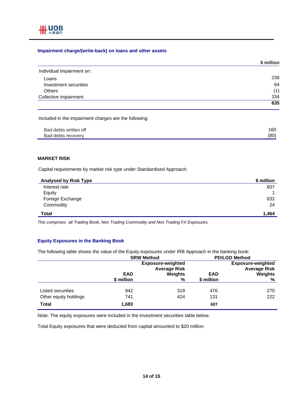

#### **Impairment charge/(write-back) on loans and other assets**

|                           | \$ million |
|---------------------------|------------|
| Individual impairment on: |            |
| Loans                     | 238        |
| Investment securities     | 64         |
| <b>Others</b>             | (1)        |
| Collective impairment     | 334        |
|                           | 635        |

Included in the impairment charges are the following:

| Bad debts written off | 160  |
|-----------------------|------|
| Bad debts recovery    | (80) |

#### **MARKET RISK**

Capital requirements by market risk type under Standardised Approach:

| <b>Analysed by Risk Type</b> | \$ million |
|------------------------------|------------|
| Interest rate                | 607        |
| Equity                       | и          |
| Foreign Exchange             | 832        |
| Commodity                    | 24         |
| <b>Total</b>                 | 1,464      |

*This comprises all Trading Book, Non Trading Commodity and Non Trading FX Exposures.* 

#### **Equity Exposures in the Banking Book**

The following table shows the value of the Equity exposures under IRB Approach in the banking book:

|                       | <b>SRW Method</b>                               |                | <b>PD/LGD Method</b> |                                                 |
|-----------------------|-------------------------------------------------|----------------|----------------------|-------------------------------------------------|
|                       | <b>Exposure-weighted</b><br><b>Average Risk</b> |                |                      | <b>Exposure-weighted</b><br><b>Average Risk</b> |
|                       | <b>EAD</b>                                      | <b>Weights</b> | <b>EAD</b>           | Weights                                         |
|                       | \$ million                                      | %              | \$ million           | %                                               |
| Listed securities     | 942                                             | 318            | 476                  | 270                                             |
|                       |                                                 |                |                      |                                                 |
| Other equity holdings | 741                                             | 424            | 131                  | 222                                             |
| <b>Total</b>          | 1,683                                           |                | 607                  |                                                 |

Note: The equity exposures were included in the investment securities table below.

Total Equity exposures that were deducted from capital amounted to \$20 million.